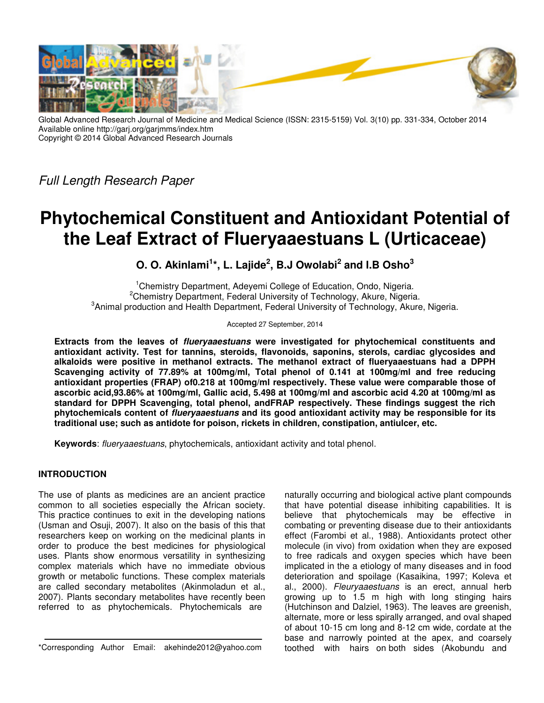

Global Advanced Research Journal of Medicine and Medical Science (ISSN: 2315-5159) Vol. 3(10) pp. 331-334, October 2014 Available online http://garj.org/garjmms/index.htm Copyright © 2014 Global Advanced Research Journals

Full Length Research Paper

# **Phytochemical Constituent and Antioxidant Potential of the Leaf Extract of Flueryaaestuans L (Urticaceae)**

**O. O. Akinlami<sup>1</sup> \*, L. Lajide<sup>2</sup> , B.J Owolabi<sup>2</sup> and I.B Osho<sup>3</sup>**

<sup>1</sup>Chemistry Department, Adeyemi College of Education, Ondo, Nigeria. <sup>2</sup>Chemistry Department, Federal University of Technology, Akure, Nigeria. <sup>3</sup> Animal production and Health Department, Federal University of Technology, Akure, Nigeria.

Accepted 27 September, 2014

**Extracts from the leaves of flueryaaestuans were investigated for phytochemical constituents and antioxidant activity. Test for tannins, steroids, flavonoids, saponins, sterols, cardiac glycosides and alkaloids were positive in methanol extracts. The methanol extract of flueryaaestuans had a DPPH Scavenging activity of 77.89% at 100mg/ml, Total phenol of 0.141 at 100mg/ml and free reducing antioxidant properties (FRAP) of0.218 at 100mg/ml respectively. These value were comparable those of ascorbic acid,93.86% at 100mg/ml, Gallic acid, 5.498 at 100mg/ml and ascorbic acid 4.20 at 100mg/ml as standard for DPPH Scavenging, total phenol, andFRAP respectively. These findings suggest the rich phytochemicals content of flueryaaestuans and its good antioxidant activity may be responsible for its traditional use; such as antidote for poison, rickets in children, constipation, antiulcer, etc.** 

**Keywords**: flueryaaestuans, phytochemicals, antioxidant activity and total phenol.

# **INTRODUCTION**

The use of plants as medicines are an ancient practice common to all societies especially the African society. This practice continues to exit in the developing nations (Usman and Osuji, 2007). It also on the basis of this that researchers keep on working on the medicinal plants in order to produce the best medicines for physiological uses. Plants show enormous versatility in synthesizing complex materials which have no immediate obvious growth or metabolic functions. These complex materials are called secondary metabolites (Akinmoladun et al., 2007). Plants secondary metabolites have recently been referred to as phytochemicals. Phytochemicals are

naturally occurring and biological active plant compounds that have potential disease inhibiting capabilities. It is believe that phytochemicals may be effective in combating or preventing disease due to their antioxidants effect (Farombi et al., 1988). Antioxidants protect other molecule (in vivo) from oxidation when they are exposed to free radicals and oxygen species which have been implicated in the a etiology of many diseases and in food deterioration and spoilage (Kasaikina, 1997; Koleva et al., 2000). Fleuryaaestuans is an erect, annual herb growing up to 1.5 m high with long stinging hairs (Hutchinson and Dalziel, 1963). The leaves are greenish, alternate, more or less spirally arranged, and oval shaped of about 10-15 cm long and 8-12 cm wide, cordate at the base and narrowly pointed at the apex, and coarsely toothed with hairs on both sides (Akobundu and

<sup>\*</sup>Corresponding Author Email: akehinde2012@yahoo.com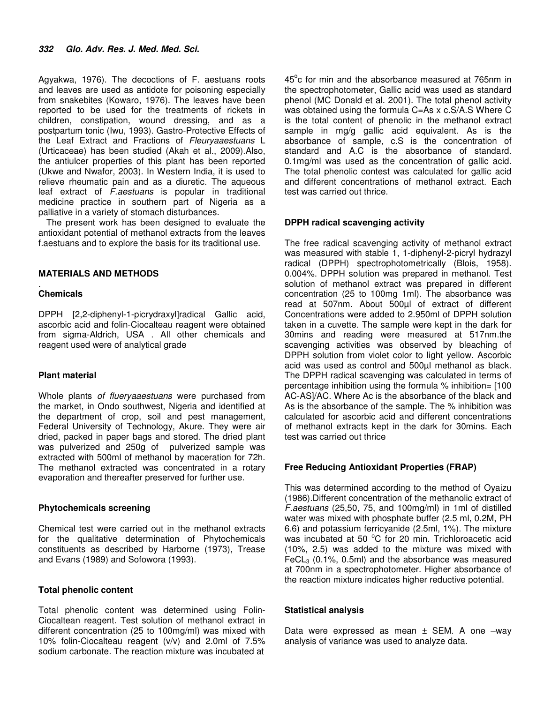Agyakwa, 1976). The decoctions of F. aestuans roots and leaves are used as antidote for poisoning especially from snakebites (Kowaro, 1976). The leaves have been reported to be used for the treatments of rickets in children, constipation, wound dressing, and as a postpartum tonic (Iwu, 1993). Gastro-Protective Effects of the Leaf Extract and Fractions of Fleuryaaestuans L (Urticaceae) has been studied (Akah et al., 2009).Also, the antiulcer properties of this plant has been reported (Ukwe and Nwafor, 2003). In Western India, it is used to relieve rheumatic pain and as a diuretic. The aqueous leaf extract of F.aestuans is popular in traditional medicine practice in southern part of Nigeria as a palliative in a variety of stomach disturbances.

The present work has been designed to evaluate the antioxidant potential of methanol extracts from the leaves f.aestuans and to explore the basis for its traditional use.

# **MATERIALS AND METHODS**

### . **Chemicals**

DPPH [2,2-diphenyl-1-picrydraxyl]radical Gallic acid, ascorbic acid and folin-Ciocalteau reagent were obtained from sigma-Aldrich, USA . All other chemicals and reagent used were of analytical grade

# **Plant material**

Whole plants of flueryaaestuans were purchased from the market, in Ondo southwest, Nigeria and identified at the department of crop, soil and pest management, Federal University of Technology, Akure. They were air dried, packed in paper bags and stored. The dried plant was pulverized and 250g of pulverized sample was extracted with 500ml of methanol by maceration for 72h. The methanol extracted was concentrated in a rotary evaporation and thereafter preserved for further use.

# **Phytochemicals screening**

Chemical test were carried out in the methanol extracts for the qualitative determination of Phytochemicals constituents as described by Harborne (1973), Trease and Evans (1989) and Sofowora (1993).

# **Total phenolic content**

Total phenolic content was determined using Folin-Ciocaltean reagent. Test solution of methanol extract in different concentration (25 to 100mg/ml) was mixed with 10% folin-Ciocalteau reagent (v/v) and 2.0ml of 7.5% sodium carbonate. The reaction mixture was incubated at

45°c for min and the absorbance measured at 765nm in the spectrophotometer, Gallic acid was used as standard phenol (MC Donald et al. 2001). The total phenol activity was obtained using the formula C=As x c.S/A.S Where C is the total content of phenolic in the methanol extract sample in mg/g gallic acid equivalent. As is the absorbance of sample, c.S is the concentration of standard and A.C is the absorbance of standard. 0.1mg/ml was used as the concentration of gallic acid. The total phenolic contest was calculated for gallic acid and different concentrations of methanol extract. Each test was carried out thrice.

# **DPPH radical scavenging activity**

The free radical scavenging activity of methanol extract was measured with stable 1, 1-diphenyl-2-picryl hydrazyl radical (DPPH) spectrophotometrically (Blois, 1958). 0.004%. DPPH solution was prepared in methanol. Test solution of methanol extract was prepared in different concentration (25 to 100mg 1ml). The absorbance was read at 507nm. About 500µl of extract of different Concentrations were added to 2.950ml of DPPH solution taken in a cuvette. The sample were kept in the dark for 30mins and reading were measured at 517nm.the scavenging activities was observed by bleaching of DPPH solution from violet color to light yellow. Ascorbic acid was used as control and 500µl methanol as black. The DPPH radical scavenging was calculated in terms of percentage inhibition using the formula % inhibition= [100 AC-AS]/AC. Where Ac is the absorbance of the black and As is the absorbance of the sample. The % inhibition was calculated for ascorbic acid and different concentrations of methanol extracts kept in the dark for 30mins. Each test was carried out thrice

# **Free Reducing Antioxidant Properties (FRAP)**

This was determined according to the method of Oyaizu (1986).Different concentration of the methanolic extract of F.aestuans (25,50, 75, and 100mg/ml) in 1ml of distilled water was mixed with phosphate buffer (2.5 ml, 0.2M, PH 6.6) and potassium ferricyanide (2.5ml, 1%). The mixture was incubated at 50  $^{\circ}$ C for 20 min. Trichloroacetic acid (10%, 2.5) was added to the mixture was mixed with FeCL<sub>3</sub> (0.1%, 0.5ml) and the absorbance was measured at 700nm in a spectrophotometer. Higher absorbance of the reaction mixture indicates higher reductive potential.

# **Statistical analysis**

Data were expressed as mean  $\pm$  SEM. A one –way analysis of variance was used to analyze data.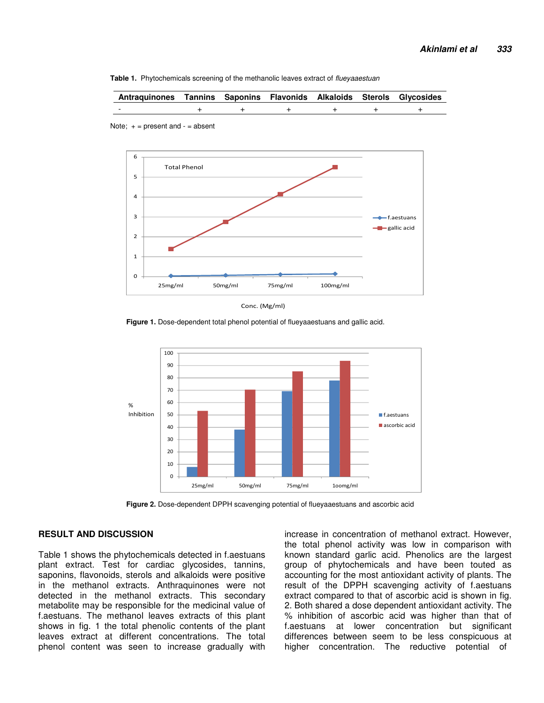

| Antraquinones Tannins Saponins Flavonids Alkaloids Sterols Glycosides |  |  |  |
|-----------------------------------------------------------------------|--|--|--|
| $\overline{\phantom{0}}$                                              |  |  |  |



Note;  $+$  = present and  $-$  = absent

Conc. (Mg/ml)

**Figure 1.** Dose-dependent total phenol potential of flueyaaestuans and gallic acid.



**Figure 2.** Dose-dependent DPPH scavenging potential of flueyaaestuans and ascorbic acid

## **RESULT AND DISCUSSION**

Table 1 shows the phytochemicals detected in f.aestuans plant extract. Test for cardiac glycosides, tannins, saponins, flavonoids, sterols and alkaloids were positive in the methanol extracts. Anthraquinones were not detected in the methanol extracts. This secondary metabolite may be responsible for the medicinal value of f.aestuans. The methanol leaves extracts of this plant shows in fig. 1 the total phenolic contents of the plant leaves extract at different concentrations. The total phenol content was seen to increase gradually with

increase in concentration of methanol extract. However, the total phenol activity was low in comparison with known standard garlic acid. Phenolics are the largest group of phytochemicals and have been touted as accounting for the most antioxidant activity of plants. The result of the DPPH scavenging activity of f.aestuans extract compared to that of ascorbic acid is shown in fig. 2. Both shared a dose dependent antioxidant activity. The % inhibition of ascorbic acid was higher than that of f.aestuans at lower concentration but significant differences between seem to be less conspicuous at higher concentration. The reductive potential of